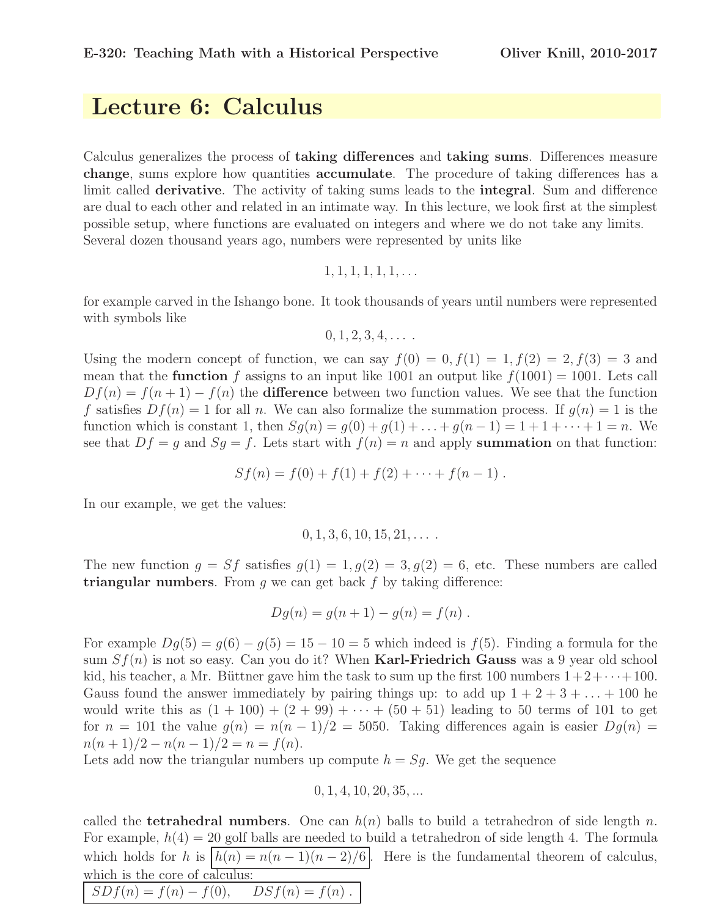## Lecture 6: Calculus

Calculus generalizes the process of taking differences and taking sums. Differences measure change, sums explore how quantities accumulate. The procedure of taking differences has a limit called **derivative**. The activity of taking sums leads to the **integral**. Sum and difference are dual to each other and related in an intimate way. In this lecture, we look first at the simplest possible setup, where functions are evaluated on integers and where we do not take any limits. Several dozen thousand years ago, numbers were represented by units like

$$
1, 1, 1, 1, 1, 1, \ldots
$$

for example carved in the Ishango bone. It took thousands of years until numbers were represented with symbols like

$$
0, 1, 2, 3, 4, \ldots
$$

Using the modern concept of function, we can say  $f(0) = 0, f(1) = 1, f(2) = 2, f(3) = 3$  and mean that the **function** f assigns to an input like 1001 an output like  $f(1001) = 1001$ . Lets call  $Df(n) = f(n+1) - f(n)$  the difference between two function values. We see that the function f satisfies  $Df(n) = 1$  for all n. We can also formalize the summation process. If  $g(n) = 1$  is the function which is constant 1, then  $S_g(n) = g(0) + g(1) + ... + g(n-1) = 1 + 1 + ... + 1 = n$ . We see that  $Df = g$  and  $Sg = f$ . Lets start with  $f(n) = n$  and apply **summation** on that function:

$$
Sf(n) = f(0) + f(1) + f(2) + \cdots + f(n-1) .
$$

In our example, we get the values:

$$
0, 1, 3, 6, 10, 15, 21, \ldots
$$

The new function  $g = Sf$  satisfies  $g(1) = 1, g(2) = 3, g(2) = 6$ , etc. These numbers are called **triangular numbers.** From  $q$  we can get back  $f$  by taking difference:

$$
Dg(n) = g(n + 1) - g(n) = f(n) .
$$

For example  $Dg(5) = g(6) - g(5) = 15 - 10 = 5$  which indeed is  $f(5)$ . Finding a formula for the sum  $Sf(n)$  is not so easy. Can you do it? When **Karl-Friedrich Gauss** was a 9 year old school kid, his teacher, a Mr. Büttner gave him the task to sum up the first 100 numbers  $1+2+\cdots+100$ . Gauss found the answer immediately by pairing things up: to add up  $1 + 2 + 3 + \ldots + 100$  he would write this as  $(1 + 100) + (2 + 99) + \cdots + (50 + 51)$  leading to 50 terms of 101 to get for  $n = 101$  the value  $q(n) = n(n-1)/2 = 5050$ . Taking differences again is easier  $Dq(n) =$  $n(n+1)/2 - n(n-1)/2 = n = f(n).$ 

Lets add now the triangular numbers up compute  $h = Sq$ . We get the sequence

## $0, 1, 4, 10, 20, 35, \ldots$

called the **tetrahedral numbers**. One can  $h(n)$  balls to build a tetrahedron of side length n. For example,  $h(4) = 20$  golf balls are needed to build a tetrahedron of side length 4. The formula which holds for h is  $|h(n) = n(n-1)(n-2)/6$ . Here is the fundamental theorem of calculus, which is the core of calculus:

$$
SDf(n) = f(n) - f(0), \qquad DSf(n) = f(n) .
$$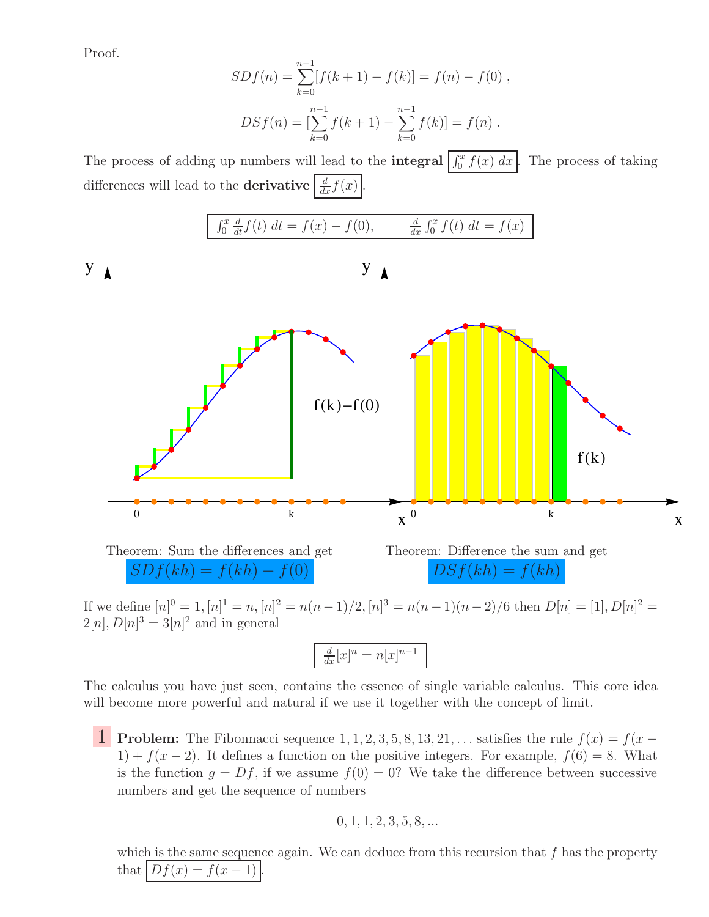Proof.

$$
SDf(n) = \sum_{k=0}^{n-1} [f(k+1) - f(k)] = f(n) - f(0),
$$
  

$$
DSf(n) = \left[\sum_{k=0}^{n-1} f(k+1) - \sum_{k=0}^{n-1} f(k)\right] = f(n).
$$

The process of adding up numbers will lead to the **integral**  $\int_0^x f(x) dx$ . The process of taking differences will lead to the **derivative**  $\frac{d}{dx} f(x)$ .



If we define  $[n]^0 = 1$ ,  $[n]^1 = n$ ,  $[n]^2 = n(n-1)/2$ ,  $[n]^3 = n(n-1)(n-2)/6$  then  $D[n] = [1], D[n]^2 =$  $2[n], D[n]^3 = 3[n]^2$  and in general

| $\frac{1}{2}$ | $\gamma$ $\gamma$ |
|---------------|-------------------|
|               |                   |

The calculus you have just seen, contains the essence of single variable calculus. This core idea will become more powerful and natural if we use it together with the concept of limit.

1 Problem: The Fibonnacci sequence 1, 1, 2, 3, 5, 8, 13, 21, ... satisfies the rule  $f(x) = f(x -$ 1) +  $f(x-2)$ . It defines a function on the positive integers. For example,  $f(6) = 8$ . What is the function  $q = Df$ , if we assume  $f(0) = 0$ ? We take the difference between successive numbers and get the sequence of numbers

$$
0, 1, 1, 2, 3, 5, 8, \dots
$$

which is the same sequence again. We can deduce from this recursion that  $f$  has the property that  $\left|Df(x) = f(x-1)\right|$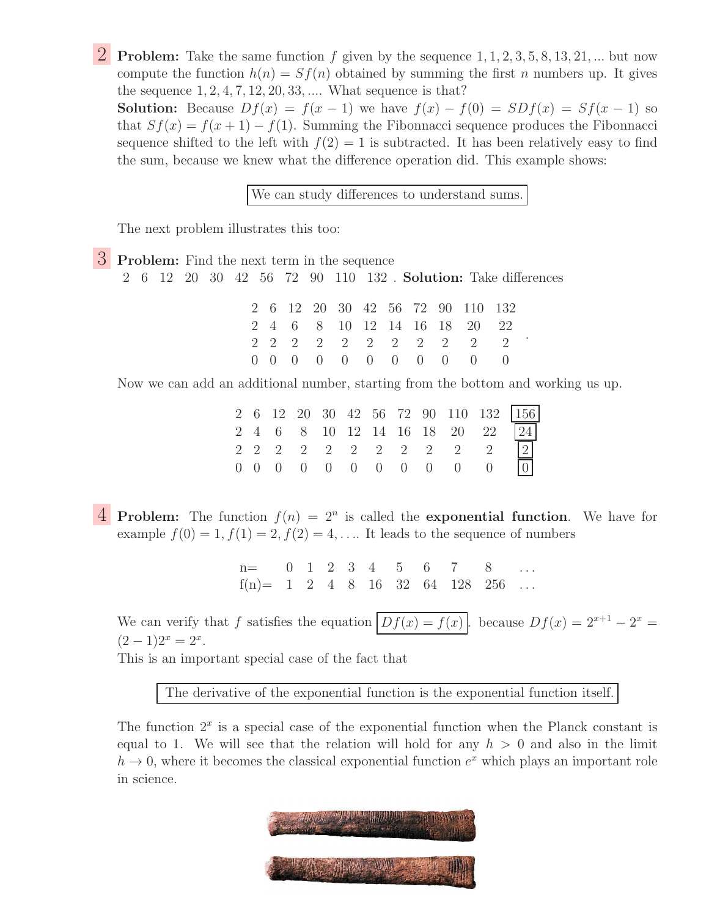**2** Problem: Take the same function f given by the sequence  $1, 1, 2, 3, 5, 8, 13, 21, ...$  but now compute the function  $h(n) = Sf(n)$  obtained by summing the first n numbers up. It gives the sequence  $1, 2, 4, 7, 12, 20, 33, \dots$  What sequence is that?

**Solution:** Because  $Df(x) = f(x-1)$  we have  $f(x) - f(0) = SDf(x) = Sf(x-1)$  so that  $Sf(x) = f(x+1) - f(1)$ . Summing the Fibonnacci sequence produces the Fibonnacci sequence shifted to the left with  $f(2) = 1$  is subtracted. It has been relatively easy to find the sum, because we knew what the difference operation did. This example shows:

We can study differences to understand sums.

The next problem illustrates this too:

3 Problem: Find the next term in the sequence 2 6 12 20 30 42 56 72 90 110 132 . Solution: Take differences

|  |  |  |  | 2 6 12 20 30 42 56 72 90 110 132                                   |  |
|--|--|--|--|--------------------------------------------------------------------|--|
|  |  |  |  | 2 4 6 8 10 12 14 16 18 20 22                                       |  |
|  |  |  |  | 2 2 2 2 2 2 2 2 2 2 2                                              |  |
|  |  |  |  | $0\quad 0\quad 0\quad 0\quad 0\quad 0\quad 0\quad 0\quad 0\quad 0$ |  |

Now we can add an additional number, starting from the bottom and working us up.

|  |  |  |  |  |                                     | 2 6 12 20 30 42 56 72 90 110 132 156 |
|--|--|--|--|--|-------------------------------------|--------------------------------------|
|  |  |  |  |  |                                     | 2 4 6 8 10 12 14 16 18 20 22 24      |
|  |  |  |  |  | 2 2 2 2 2 2 2 2 2 2 2 2 2           |                                      |
|  |  |  |  |  | $0$ 0 0 0 0 0 0 0 0 0 0 $\boxed{0}$ |                                      |

**4** Problem: The function  $f(n) = 2^n$  is called the exponential function. We have for example  $f(0) = 1, f(1) = 2, f(2) = 4, \ldots$  It leads to the sequence of numbers

> n= 0 1 2 3 4 5 6 7 8  $f(n) = 1 2 4 8 16 32 64 128 256 ...$

We can verify that f satisfies the equation  $\overline{Df(x) = f(x)}$ , because  $\overline{Df(x)} = 2^{x+1} - 2^x =$  $(2-1)2^{x} = 2^{x}.$ 

This is an important special case of the fact that

The derivative of the exponential function is the exponential function itself.

The function  $2<sup>x</sup>$  is a special case of the exponential function when the Planck constant is equal to 1. We will see that the relation will hold for any  $h > 0$  and also in the limit  $h \to 0$ , where it becomes the classical exponential function  $e^x$  which plays an important role in science.